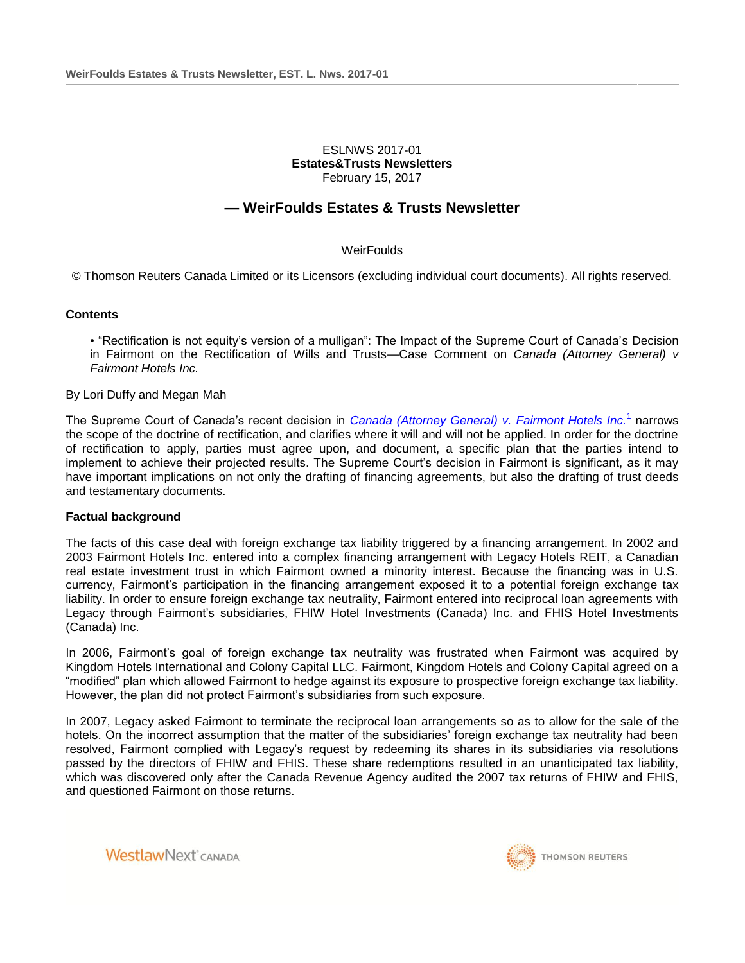## ESLNWS 2017-01 **Estates&Trusts Newsletters** February 15, 2017

# **— WeirFoulds Estates & Trusts Newsletter**

# **WeirFoulds**

© Thomson Reuters Canada Limited or its Licensors (excluding individual court documents). All rights reserved.

## **Contents**

• "Rectification is not equity's version of a mulligan": The Impact of the Supreme Court of Canada's Decision in Fairmont on the Rectification of Wills and Trusts—Case Comment on *Canada (Attorney General) v Fairmont Hotels Inc.*

## By Lori Duffy and Megan Mah

The Supreme Court of Canada's recent decision in *[Canada \(Attorney General\) v. Fairmont Hotels Inc.](http://nextcanada.westlaw.com/Link/Document/FullText?findType=Y&pubNum=6407&serNum=2040493099&originationContext=document&transitionType=Document&vr=3.0&rs=cblt1.0&contextData=(sc.Search))*[1](http://nextcanada.westlaw.com/Link/Document/FullText?findType=Y&pubNum=6407&serNum=2040493099&originationContext=document&transitionType=Document&vr=3.0&rs=cblt1.0&contextData=(sc.Search)) narrows the scope of the doctrine of rectification, and clarifies where it will and will not be applied. In order for the doctrine of rectification to apply, parties must agree upon, and document, a specific plan that the parties intend to implement to achieve their projected results. The Supreme Court's decision in Fairmont is significant, as it may have important implications on not only the drafting of financing agreements, but also the drafting of trust deeds and testamentary documents.

#### **Factual background**

The facts of this case deal with foreign exchange tax liability triggered by a financing arrangement. In 2002 and 2003 Fairmont Hotels Inc. entered into a complex financing arrangement with Legacy Hotels REIT, a Canadian real estate investment trust in which Fairmont owned a minority interest. Because the financing was in U.S. currency, Fairmont's participation in the financing arrangement exposed it to a potential foreign exchange tax liability. In order to ensure foreign exchange tax neutrality, Fairmont entered into reciprocal loan agreements with Legacy through Fairmont's subsidiaries, FHIW Hotel Investments (Canada) Inc. and FHIS Hotel Investments (Canada) Inc.

In 2006, Fairmont's goal of foreign exchange tax neutrality was frustrated when Fairmont was acquired by Kingdom Hotels International and Colony Capital LLC. Fairmont, Kingdom Hotels and Colony Capital agreed on a "modified" plan which allowed Fairmont to hedge against its exposure to prospective foreign exchange tax liability. However, the plan did not protect Fairmont's subsidiaries from such exposure.

In 2007, Legacy asked Fairmont to terminate the reciprocal loan arrangements so as to allow for the sale of the hotels. On the incorrect assumption that the matter of the subsidiaries' foreign exchange tax neutrality had been resolved, Fairmont complied with Legacy's request by redeeming its shares in its subsidiaries via resolutions passed by the directors of FHIW and FHIS. These share redemptions resulted in an unanticipated tax liability, which was discovered only after the Canada Revenue Agency audited the 2007 tax returns of FHIW and FHIS, and questioned Fairmont on those returns.

**WestlawNext** CANADA

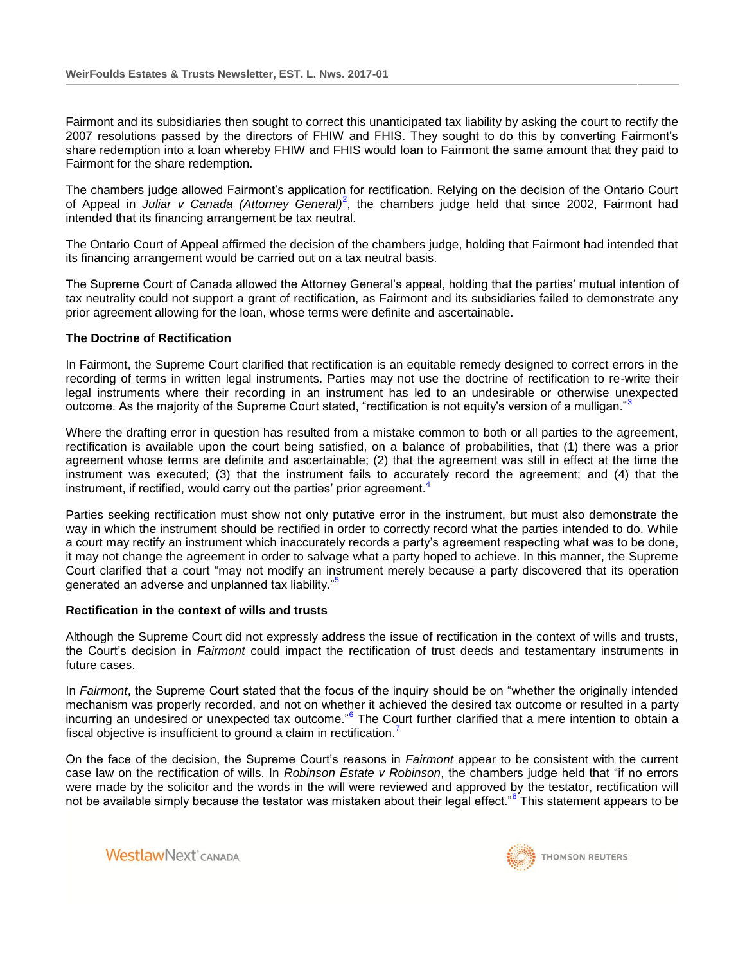Fairmont and its subsidiaries then sought to correct this unanticipated tax liability by asking the court to rectify the 2007 resolutions passed by the directors of FHIW and FHIS. They sought to do this by converting Fairmont's share redemption into a loan whereby FHIW and FHIS would loan to Fairmont the same amount that they paid to Fairmont for the share redemption.

The chambers judge allowed Fairmont's application for rectification. Relying on the decision of the Ontario Court of Appeal in *Juliar v Canada (Attorney General)<sup>2</sup>*, the chambers judge held that since 2002, Fairmont had intended that its financing arrangement be tax neutral.

The Ontario Court of Appeal affirmed the decision of the chambers judge, holding that Fairmont had intended that its financing arrangement would be carried out on a tax neutral basis.

The Supreme Court of Canada allowed the Attorney General's appeal, holding that the parties' mutual intention of tax neutrality could not support a grant of rectification, as Fairmont and its subsidiaries failed to demonstrate any prior agreement allowing for the loan, whose terms were definite and ascertainable.

## **The Doctrine of Rectification**

In Fairmont, the Supreme Court clarified that rectification is an equitable remedy designed to correct errors in the recording of terms in written legal instruments. Parties may not use the doctrine of rectification to re-write their legal instruments where their recording in an instrument has led to an undesirable or otherwise unexpected outcome. As the majority of the Supreme Court stated, "rectification is not equity's version of a mulligan."<sup>3</sup>

Where the drafting error in question has resulted from a mistake common to both or all parties to the agreement, rectification is available upon the court being satisfied, on a balance of probabilities, that (1) there was a prior agreement whose terms are definite and ascertainable; (2) that the agreement was still in effect at the time the instrument was executed; (3) that the instrument fails to accurately record the agreement; and (4) that the instrument, if rectified, would carry out the parties' prior agreement.<sup>4</sup>

Parties seeking rectification must show not only putative error in the instrument, but must also demonstrate the way in which the instrument should be rectified in order to correctly record what the parties intended to do. While a court may rectify an instrument which inaccurately records a party's agreement respecting what was to be done, it may not change the agreement in order to salvage what a party hoped to achieve. In this manner, the Supreme Court clarified that a court "may not modify an instrument merely because a party discovered that its operation generated an adverse and unplanned tax liability."

#### **Rectification in the context of wills and trusts**

Although the Supreme Court did not expressly address the issue of rectification in the context of wills and trusts, the Court's decision in *Fairmont* could impact the rectification of trust deeds and testamentary instruments in future cases.

In *Fairmont*, the Supreme Court stated that the focus of the inquiry should be on "whether the originally intended mechanism was properly recorded, and not on whether it achieved the desired tax outcome or resulted in a party incurring an undesired or unexpected tax outcome."<sup>6</sup> The Court further clarified that a mere intention to obtain a fiscal objective is insufficient to ground a claim in rectification.<sup>7</sup>

On the face of the decision, the Supreme Court's reasons in *Fairmont* appear to be consistent with the current case law on the rectification of wills. In *Robinson Estate v Robinson*, the chambers judge held that "if no errors were made by the solicitor and the words in the will were reviewed and approved by the testator, rectification will not be available simply because the testator was mistaken about their legal effect."<sup>8</sup> This statement appears to be



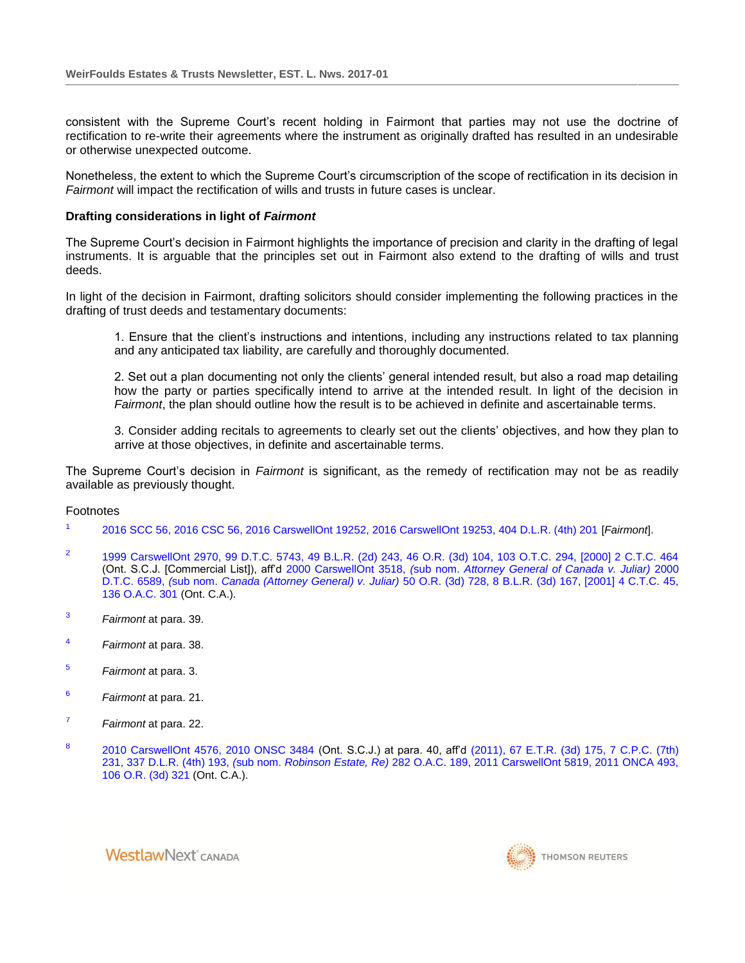consistent with the Supreme Court's recent holding in Fairmont that parties may not use the doctrine of rectification to re-write their agreements where the instrument as originally drafted has resulted in an undesirable or otherwise unexpected outcome.

Nonetheless, the extent to which the Supreme Court's circumscription of the scope of rectification in its decision in *Fairmont* will impact the rectification of wills and trusts in future cases is unclear.

## **Drafting considerations in light of** *Fairmont*

The Supreme Court's decision in Fairmont highlights the importance of precision and clarity in the drafting of legal instruments. It is arguable that the principles set out in Fairmont also extend to the drafting of wills and trust deeds.

In light of the decision in Fairmont, drafting solicitors should consider implementing the following practices in the drafting of trust deeds and testamentary documents:

1. Ensure that the client's instructions and intentions, including any instructions related to tax planning and any anticipated tax liability, are carefully and thoroughly documented.

2. Set out a plan documenting not only the clients' general intended result, but also a road map detailing how the party or parties specifically intend to arrive at the intended result. In light of the decision in *Fairmont*, the plan should outline how the result is to be achieved in definite and ascertainable terms.

3. Consider adding recitals to agreements to clearly set out the clients' objectives, and how they plan to arrive at those objectives, in definite and ascertainable terms.

The Supreme Court's decision in *Fairmont* is significant, as the remedy of rectification may not be as readily available as previously thought.

#### Footnotes

- 1 [2016 SCC 56, 2016 CSC 56, 2016 CarswellOnt 19252, 2016 CarswellOnt 19253, 404 D.L.R. \(4th\) 201](http://nextcanada.westlaw.com/Link/Document/FullText?findType=Y&pubNum=6407&serNum=2040493099&originationContext=document&transitionType=Document&vr=3.0&rs=cblt1.0&contextData=(sc.Search)) [*Fairmont*].
- $\overline{2}$ [1999 CarswellOnt 2970, 99 D.T.C. 5743, 49 B.L.R. \(2d\) 243, 46 O.R. \(3d\) 104, 103 O.T.C. 294, \[2000\] 2 C.T.C. 464](http://nextcanada.westlaw.com/Link/Document/FullText?findType=Y&pubNum=6407&serNum=1999492947&originationContext=document&transitionType=Document&vr=3.0&rs=cblt1.0&contextData=(sc.Search)) (Ont. S.C.J. [Commercial List]), aff'd 2000 CarswellOnt 3518, *(*sub nom. *[Attorney General of Canada v. Juliar\)](http://nextcanada.westlaw.com/Link/Document/FullText?findType=Y&pubNum=6407&serNum=2000552091&originationContext=document&transitionType=Document&vr=3.0&rs=cblt1.0&contextData=(sc.Search))* 2000 D.T.C. 6589, *(*sub nom. *Canada (Attorney General) v. Juliar)* [50 O.R. \(3d\) 728, 8 B.L.R. \(3d\) 167, \[2001\] 4 C.T.C. 45,](http://nextcanada.westlaw.com/Link/Document/FullText?findType=Y&pubNum=6407&serNum=2000552091&originationContext=document&transitionType=Document&vr=3.0&rs=cblt1.0&contextData=(sc.Search))  [136 O.A.C. 301](http://nextcanada.westlaw.com/Link/Document/FullText?findType=Y&pubNum=6407&serNum=2000552091&originationContext=document&transitionType=Document&vr=3.0&rs=cblt1.0&contextData=(sc.Search)) (Ont. C.A.).
- <sup>3</sup> *Fairmont* at para. 39.
- <sup>4</sup> *Fairmont* at para. 38.
- <sup>5</sup> *Fairmont* at para. 3.
- <sup>6</sup> *Fairmont* at para. 21.
- <sup>7</sup> *Fairmont* at para. 22.
- 8 [2010 CarswellOnt 4576, 2010 ONSC 3484](http://nextcanada.westlaw.com/Link/Document/FullText?findType=Y&pubNum=6407&serNum=2022453541&originationContext=document&transitionType=Document&vr=3.0&rs=cblt1.0&contextData=(sc.Search)) (Ont. S.C.J.) at para. 40, aff'd [\(2011\), 67 E.T.R. \(3d\) 175, 7 C.P.C. \(7th\)](http://nextcanada.westlaw.com/Link/Document/FullText?findType=Y&pubNum=6407&serNum=2025624882&originationContext=document&transitionType=Document&vr=3.0&rs=cblt1.0&contextData=(sc.Search))  231, 337 D.L.R. (4th) 193, *(*sub nom. *Robinson Estate, Re)* [282 O.A.C. 189, 2011 CarswellOnt 5819, 2011 ONCA 493,](http://nextcanada.westlaw.com/Link/Document/FullText?findType=Y&pubNum=6407&serNum=2025624882&originationContext=document&transitionType=Document&vr=3.0&rs=cblt1.0&contextData=(sc.Search))  [106 O.R. \(3d\) 321](http://nextcanada.westlaw.com/Link/Document/FullText?findType=Y&pubNum=6407&serNum=2025624882&originationContext=document&transitionType=Document&vr=3.0&rs=cblt1.0&contextData=(sc.Search)) (Ont. C.A.).

**WestlawNext** CANADA